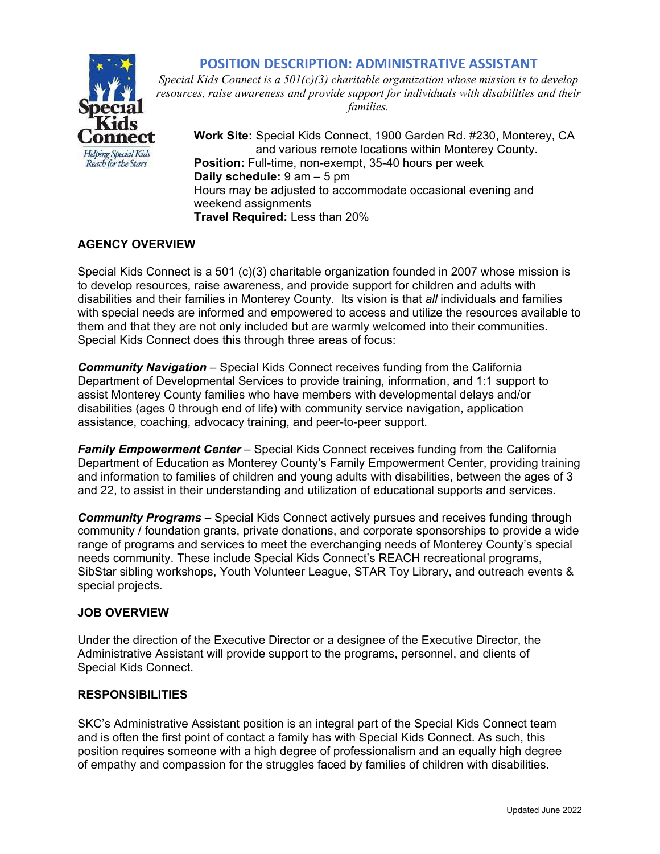# **POSITION DESCRIPTION: ADMINISTRATIVE ASSISTANT**



*Special Kids Connect is a 501(c)(3) charitable organization whose mission is to develop resources, raise awareness and provide support for individuals with disabilities and their families.* 

**Work Site:** Special Kids Connect, 1900 Garden Rd. #230, Monterey, CA and various remote locations within Monterey County. **Position:** Full-time, non-exempt, 35-40 hours per week  **Daily schedule:** 9 am – 5 pm Hours may be adjusted to accommodate occasional evening and weekend assignments  **Travel Required:** Less than 20%

# **AGENCY OVERVIEW**

Special Kids Connect is a 501 (c)(3) charitable organization founded in 2007 whose mission is to develop resources, raise awareness, and provide support for children and adults with disabilities and their families in Monterey County. Its vision is that *all* individuals and families with special needs are informed and empowered to access and utilize the resources available to them and that they are not only included but are warmly welcomed into their communities. Special Kids Connect does this through three areas of focus:

*Community Navigation* – Special Kids Connect receives funding from the California Department of Developmental Services to provide training, information, and 1:1 support to assist Monterey County families who have members with developmental delays and/or disabilities (ages 0 through end of life) with community service navigation, application assistance, coaching, advocacy training, and peer-to-peer support.

*Family Empowerment Center* – Special Kids Connect receives funding from the California Department of Education as Monterey County's Family Empowerment Center, providing training and information to families of children and young adults with disabilities, between the ages of 3 and 22, to assist in their understanding and utilization of educational supports and services.

*Community Programs* – Special Kids Connect actively pursues and receives funding through community / foundation grants, private donations, and corporate sponsorships to provide a wide range of programs and services to meet the everchanging needs of Monterey County's special needs community. These include Special Kids Connect's REACH recreational programs, SibStar sibling workshops, Youth Volunteer League, STAR Toy Library, and outreach events & special projects.

## **JOB OVERVIEW**

Under the direction of the Executive Director or a designee of the Executive Director, the Administrative Assistant will provide support to the programs, personnel, and clients of Special Kids Connect.

### **RESPONSIBILITIES**

SKC's Administrative Assistant position is an integral part of the Special Kids Connect team and is often the first point of contact a family has with Special Kids Connect. As such, this position requires someone with a high degree of professionalism and an equally high degree of empathy and compassion for the struggles faced by families of children with disabilities.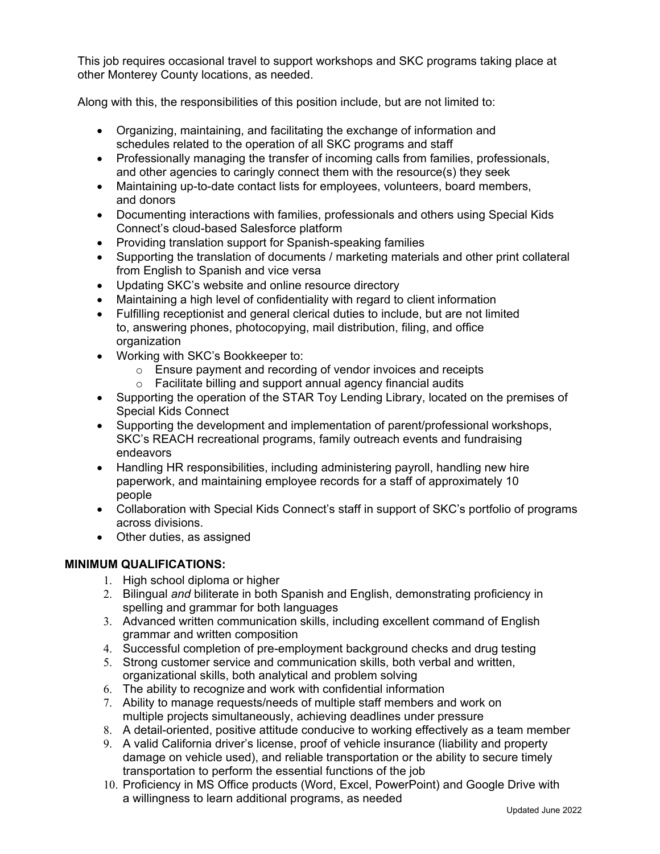This job requires occasional travel to support workshops and SKC programs taking place at other Monterey County locations, as needed.

Along with this, the responsibilities of this position include, but are not limited to:

- Organizing, maintaining, and facilitating the exchange of information and schedules related to the operation of all SKC programs and staff
- Professionally managing the transfer of incoming calls from families, professionals, and other agencies to caringly connect them with the resource(s) they seek
- Maintaining up-to-date contact lists for employees, volunteers, board members, and donors
- Documenting interactions with families, professionals and others using Special Kids Connect's cloud-based Salesforce platform
- Providing translation support for Spanish-speaking families
- Supporting the translation of documents / marketing materials and other print collateral from English to Spanish and vice versa
- Updating SKC's website and online resource directory
- Maintaining a high level of confidentiality with regard to client information
- Fulfilling receptionist and general clerical duties to include, but are not limited to, answering phones, photocopying, mail distribution, filing, and office organization
- Working with SKC's Bookkeeper to:
	- o Ensure payment and recording of vendor invoices and receipts
	- $\circ$  Facilitate billing and support annual agency financial audits
- Supporting the operation of the STAR Toy Lending Library, located on the premises of Special Kids Connect
- Supporting the development and implementation of parent/professional workshops, SKC's REACH recreational programs, family outreach events and fundraising endeavors
- Handling HR responsibilities, including administering payroll, handling new hire paperwork, and maintaining employee records for a staff of approximately 10 people
- Collaboration with Special Kids Connect's staff in support of SKC's portfolio of programs across divisions.
- Other duties, as assigned

## **MINIMUM QUALIFICATIONS:**

- 1. High school diploma or higher
- 2. Bilingual *and* biliterate in both Spanish and English, demonstrating proficiency in spelling and grammar for both languages
- 3. Advanced written communication skills, including excellent command of English grammar and written composition
- 4. Successful completion of pre-employment background checks and drug testing
- 5. Strong customer service and communication skills, both verbal and written, organizational skills, both analytical and problem solving
- 6. The ability to recognize and work with confidential information
- 7. Ability to manage requests/needs of multiple staff members and work on multiple projects simultaneously, achieving deadlines under pressure
- 8. A detail-oriented, positive attitude conducive to working effectively as a team member
- 9. A valid California driver's license, proof of vehicle insurance (liability and property damage on vehicle used), and reliable transportation or the ability to secure timely transportation to perform the essential functions of the job
- 10. Proficiency in MS Office products (Word, Excel, PowerPoint) and Google Drive with a willingness to learn additional programs, as needed